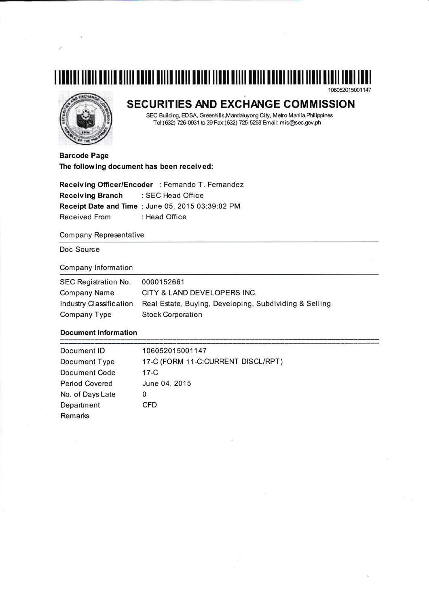## 106052015001147



# SECURITIES AND EXCHANGE COMMISSION

SEC Building, EDSA, Greenhills, Mandaluyong City, Metro Manila, Philippines Tel:(632) 726-0931 to 39 Fax:(632) 725-5293 Email: mis@sec.gov.ph

**Barcode Page** The following document has been received:

Receiving Officer/Encoder : Fernando T. Fernandez **Receiving Branch** : SEC Head Office Receipt Date and Time : June 05, 2015 03:39:02 PM **Received From** : Head Office

#### **Company Representative**

Doc Source

### **Company Information**

| SEC Registration No.    | 0000152661                                             |
|-------------------------|--------------------------------------------------------|
| Company Name            | CITY & LAND DEVELOPERS INC.                            |
| Industry Classification | Real Estate, Buying, Developing, Subdividing & Selling |
| Company Type            | <b>Stock Corporation</b>                               |

#### **Document Information**

| Document ID           | 106052015001147                    |
|-----------------------|------------------------------------|
| Document Type         | 17-C (FORM 11-C:CURRENT DISCL/RPT) |
| <b>Document Code</b>  | $17-C$                             |
| <b>Period Covered</b> | June 04, 2015                      |
| No. of Days Late      | 0                                  |
| Department            | CFD                                |
| Remarks               |                                    |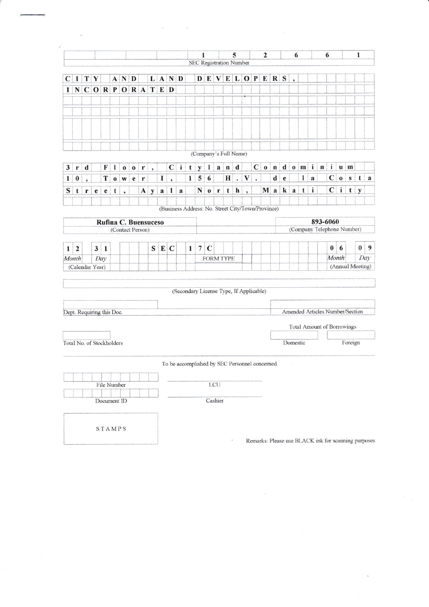|              |                           |              |              |             |             |                   |                                             |   |                      |   |                   |                                         |              | 1              |                                |             |            | 5                         |              |                      | $\mathbf{2}$                                      |              |                    | 6                        |              |          |     | 6                                 |              |                  | $\mathbf{1}$ |   |
|--------------|---------------------------|--------------|--------------|-------------|-------------|-------------------|---------------------------------------------|---|----------------------|---|-------------------|-----------------------------------------|--------------|----------------|--------------------------------|-------------|------------|---------------------------|--------------|----------------------|---------------------------------------------------|--------------|--------------------|--------------------------|--------------|----------|-----|-----------------------------------|--------------|------------------|--------------|---|
|              |                           |              |              |             |             |                   |                                             |   |                      |   |                   |                                         |              |                | <b>SEC Registration Number</b> |             |            |                           |              |                      |                                                   |              |                    |                          |              |          |     |                                   |              |                  |              |   |
| $\mathbf C$  | 1                         |              | TY           |             |             | $A \mid N \mid D$ |                                             |   | $\mathbf{L}$         |   | $A \mid N \mid D$ |                                         |              |                | $D$ $E$                        | V           |            | E L                       |              |                      | $O$ $P$ $E$ $R$ $S$                               |              |                    | $\overline{\phantom{a}}$ |              |          |     |                                   |              |                  |              |   |
| $\bf{I}$     |                           |              |              |             |             |                   | $N$ $C$ $O$ $R$ $P$ $O$ $R$ $A$ $T$ $E$ $D$ |   |                      |   |                   |                                         |              |                |                                |             |            |                           |              |                      |                                                   |              |                    |                          |              |          |     |                                   |              |                  |              |   |
|              |                           |              |              |             |             |                   |                                             |   |                      |   |                   |                                         |              |                |                                |             |            |                           |              |                      |                                                   |              |                    |                          |              |          |     |                                   |              |                  |              |   |
|              |                           |              |              |             |             |                   |                                             |   |                      |   |                   |                                         |              |                |                                |             |            |                           |              |                      |                                                   |              |                    |                          |              |          |     |                                   |              |                  |              |   |
|              |                           |              |              |             |             |                   |                                             |   |                      |   |                   |                                         |              |                |                                |             |            |                           |              |                      |                                                   |              |                    |                          |              |          |     |                                   |              |                  |              |   |
|              |                           |              |              |             |             |                   |                                             |   |                      |   |                   |                                         |              |                | (Company's Full Name)          |             |            |                           |              |                      |                                                   |              |                    |                          |              |          |     |                                   |              |                  |              |   |
| 3            | r                         | d            |              | F           | 1           | $\bf{0}$          | $\mathbf 0$                                 | r | $\ddot{\phantom{0}}$ |   | $\mathbf C$       | $\mathbf{i}$                            | t            | V              | 1                              |             | $a \mid n$ | $\mathbf d$               |              | $\mathbf C$          | $\mathbf{o}$                                      | $\mathbf{n}$ |                    | $d \mid o \mid$          | m            |          | i n | $\mathbf{i}$                      |              | $u \mid m$       |              |   |
| $\mathbf{1}$ | $\bf{0}$                  |              |              | T           |             | $0 \mid W$        | e                                           | r |                      | 1 |                   |                                         | $\mathbf{1}$ | 5              | 6                              |             | $\bf{H}$   | $\ddot{\phantom{0}}$      | $\mathbf{V}$ | $\ddot{\phantom{a}}$ |                                                   | $\mathbf d$  | $\dot{\textbf{e}}$ |                          | $\mathbf{I}$ | $\bf{a}$ |     | $\mathbf C$                       | $\mathbf{o}$ | $\bf S$          | t            | a |
| S            | t                         | $\mathbf{r}$ | e            | e           | $\mathbf t$ | ,                 |                                             |   | $A \, y$             | a | $\mathbf{I}$      | $\mathbf a$                             |              | $\mathbf N$    | $\mathbf 0$                    | $\mathbf r$ | t          | $\boldsymbol{\mathsf{h}}$ | ٠            |                      |                                                   | $M$ a        |                    | k a                      | t            | i        |     | $\mathbf{C}$                      | $\mathbf{i}$ |                  | $t \mid y$   |   |
|              |                           |              |              |             |             |                   |                                             |   |                      |   |                   |                                         |              |                |                                |             |            |                           |              |                      | (Business Address: No. Street City/Town/Province) |              |                    |                          |              |          |     |                                   |              |                  |              |   |
|              |                           |              |              |             |             |                   | Rufina C. Buensuceso                        |   |                      |   |                   |                                         |              |                |                                |             |            |                           |              |                      |                                                   |              |                    |                          |              |          |     | 893-6060                          |              |                  |              |   |
|              |                           |              |              |             |             |                   | (Contact Person)                            |   |                      |   |                   |                                         |              |                |                                |             |            |                           |              |                      |                                                   |              |                    |                          |              |          |     | (Company Telephone Number)        |              |                  |              |   |
| $\mathbf{1}$ | $\overline{2}$            |              | $\mathbf{3}$ | 1           |             |                   |                                             |   | S                    |   | EC                |                                         | 1            | $\overline{7}$ | $\mathbf C$                    |             |            |                           |              |                      |                                                   |              |                    |                          |              |          |     | $\bf{0}$                          | 6            |                  | $\bf{0}$     |   |
|              | Month                     |              |              | Day         |             |                   |                                             |   |                      |   |                   |                                         |              |                | <b>FORM TYPE</b>               |             |            |                           |              |                      |                                                   |              |                    |                          |              |          |     | Month                             |              |                  | Day          |   |
|              | (Calendar Year)           |              |              |             |             |                   |                                             |   |                      |   |                   |                                         |              |                |                                |             |            |                           |              |                      |                                                   |              |                    |                          |              |          |     |                                   |              | (Annual Meeting) |              |   |
|              |                           |              |              |             |             |                   |                                             |   |                      |   |                   |                                         |              |                |                                |             |            |                           |              |                      |                                                   |              |                    |                          |              |          |     |                                   |              |                  |              |   |
|              |                           |              |              |             |             |                   |                                             |   |                      |   |                   | (Secondary License Type, If Applicable) |              |                |                                |             |            |                           |              |                      |                                                   |              |                    |                          |              |          |     |                                   |              |                  |              |   |
|              | Dept. Requiring this Doc. |              |              |             |             |                   |                                             |   |                      |   |                   |                                         |              |                |                                |             |            |                           |              |                      |                                                   |              |                    |                          |              |          |     | Amended Articles Number/Section   |              |                  |              |   |
|              |                           |              |              |             |             |                   |                                             |   |                      |   |                   |                                         |              |                |                                |             |            |                           |              |                      |                                                   |              |                    |                          |              |          |     | <b>Total Amount of Borrowings</b> |              |                  |              |   |
|              |                           |              |              |             |             |                   |                                             |   |                      |   |                   |                                         |              |                |                                |             |            |                           |              |                      |                                                   |              |                    |                          |              |          |     |                                   |              |                  |              |   |
|              | Total No. of Stockholders |              |              |             |             |                   |                                             |   |                      |   |                   |                                         |              |                |                                |             |            |                           |              |                      |                                                   |              |                    | Domestic                 |              |          |     |                                   |              | Foreign          |              |   |
|              |                           |              |              |             |             |                   |                                             |   |                      |   |                   |                                         |              |                |                                |             |            |                           |              |                      | To be accomplished by SEC Personnel concerned     |              |                    |                          |              |          |     |                                   |              |                  |              |   |
|              |                           |              |              |             |             |                   |                                             |   |                      |   |                   |                                         |              |                |                                |             |            |                           |              |                      |                                                   |              |                    |                          |              |          |     |                                   |              |                  |              |   |
|              |                           |              |              | File Number |             |                   |                                             |   |                      |   |                   |                                         |              |                |                                | LCU         |            |                           |              |                      |                                                   |              |                    |                          |              |          |     |                                   |              |                  |              |   |
|              |                           |              |              |             |             |                   |                                             |   |                      |   |                   |                                         |              |                |                                |             |            |                           |              |                      |                                                   |              |                    |                          |              |          |     |                                   |              |                  |              |   |
|              |                           |              |              | Document ID |             |                   |                                             |   |                      |   |                   |                                         |              |                |                                | Cashier     |            |                           |              |                      |                                                   |              |                    |                          |              |          |     |                                   |              |                  |              |   |

 $\sim$